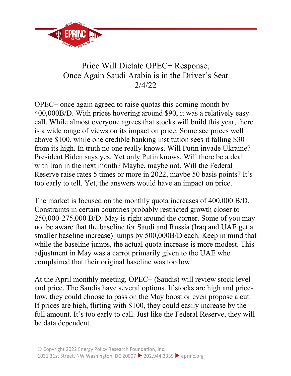

## Price Will Dictate OPEC+ Response, Once Again Saudi Arabia is in the Driver's Seat 2/4/22

OPEC+ once again agreed to raise quotas this coming month by 400,000B/D. With prices hovering around \$90, it was a relatively easy call. While almost everyone agrees that stocks will build this year, there is a wide range of views on its impact on price. Some see prices well above \$100, while one credible banking institution sees it falling \$30 from its high. In truth no one really knows. Will Putin invade Ukraine? President Biden says yes. Yet only Putin knows. Will there be a deal with Iran in the next month? Maybe, maybe not. Will the Federal Reserve raise rates 5 times or more in 2022, maybe 50 basis points? It's too early to tell. Yet, the answers would have an impact on price.

The market is focused on the monthly quota increases of 400,000 B/D. Constraints in certain countries probably restricted growth closer to 250,000-275,000 B/D. May is right around the corner. Some of you may not be aware that the baseline for Saudi and Russia (Iraq and UAE get a smaller baseline increase) jumps by 500,000B/D each. Keep in mind that while the baseline jumps, the actual quota increase is more modest. This adjustment in May was a carrot primarily given to the UAE who complained that their original baseline was too low.

At the April monthly meeting, OPEC+ (Saudis) will review stock level and price. The Saudis have several options. If stocks are high and prices low, they could choose to pass on the May boost or even propose a cut. If prices are high, flirting with \$100, they could easily increase by the full amount. It's too early to call. Just like the Federal Reserve, they will be data dependent.